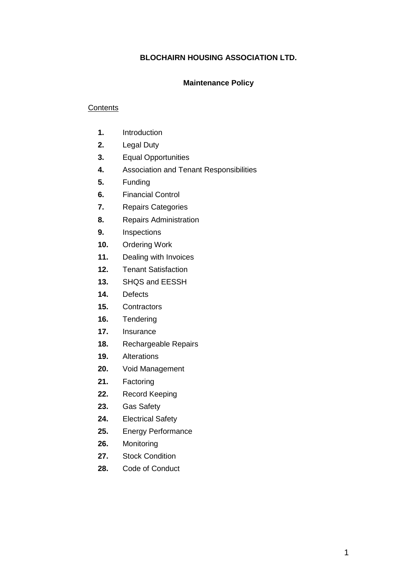# **BLOCHAIRN HOUSING ASSOCIATION LTD.**

## **Maintenance Policy**

## **Contents**

- **1.** Introduction
- **2.** Legal Duty
- **3.** Equal Opportunities
- **4.** Association and Tenant Responsibilities
- **5.** Funding
- **6.** Financial Control
- **7.** Repairs Categories
- **8.** Repairs Administration
- **9.** Inspections
- **10.** Ordering Work
- **11.** Dealing with Invoices
- **12.** Tenant Satisfaction
- **13.** SHQS and EESSH
- **14.** Defects
- **15.** Contractors
- **16.** Tendering
- **17.** Insurance
- **18.** Rechargeable Repairs
- **19.** Alterations
- **20.** Void Management
- **21.** Factoring
- **22.** Record Keeping
- **23.** Gas Safety
- **24.** Electrical Safety
- **25.** Energy Performance
- **26.** Monitoring
- **27.** Stock Condition
- **28.** Code of Conduct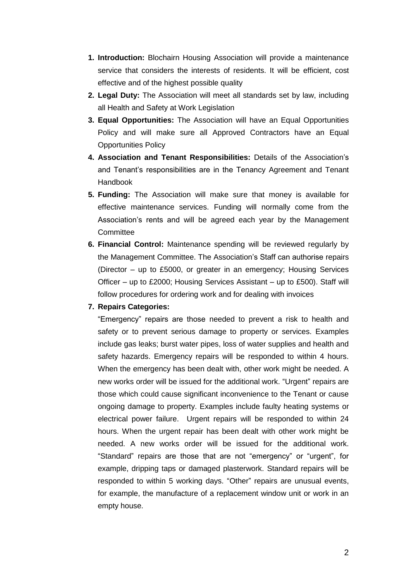- **1. Introduction:** Blochairn Housing Association will provide a maintenance service that considers the interests of residents. It will be efficient, cost effective and of the highest possible quality
- **2. Legal Duty:** The Association will meet all standards set by law, including all Health and Safety at Work Legislation
- **3. Equal Opportunities:** The Association will have an Equal Opportunities Policy and will make sure all Approved Contractors have an Equal Opportunities Policy
- **4. Association and Tenant Responsibilities:** Details of the Association's and Tenant's responsibilities are in the Tenancy Agreement and Tenant Handbook
- **5. Funding:** The Association will make sure that money is available for effective maintenance services. Funding will normally come from the Association's rents and will be agreed each year by the Management **Committee**
- **6. Financial Control:** Maintenance spending will be reviewed regularly by the Management Committee. The Association's Staff can authorise repairs (Director – up to £5000, or greater in an emergency; Housing Services Officer – up to £2000; Housing Services Assistant – up to £500). Staff will follow procedures for ordering work and for dealing with invoices

## **7. Repairs Categories:**

"Emergency" repairs are those needed to prevent a risk to health and safety or to prevent serious damage to property or services. Examples include gas leaks; burst water pipes, loss of water supplies and health and safety hazards. Emergency repairs will be responded to within 4 hours. When the emergency has been dealt with, other work might be needed. A new works order will be issued for the additional work. "Urgent" repairs are those which could cause significant inconvenience to the Tenant or cause ongoing damage to property. Examples include faulty heating systems or electrical power failure. Urgent repairs will be responded to within 24 hours. When the urgent repair has been dealt with other work might be needed. A new works order will be issued for the additional work. "Standard" repairs are those that are not "emergency" or "urgent", for example, dripping taps or damaged plasterwork. Standard repairs will be responded to within 5 working days. "Other" repairs are unusual events, for example, the manufacture of a replacement window unit or work in an empty house.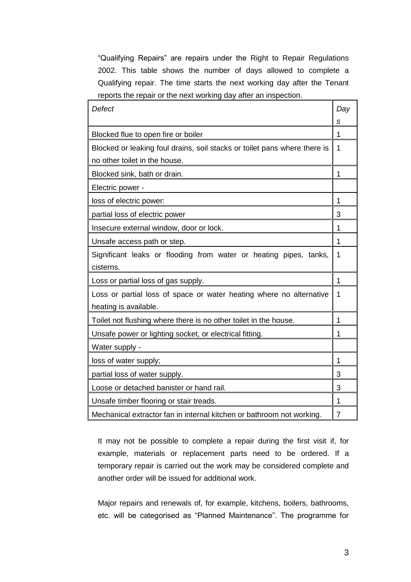"Qualifying Repairs" are repairs under the Right to Repair Regulations 2002. This table shows the number of days allowed to complete a Qualifying repair. The time starts the next working day after the Tenant reports the repair or the next working day after an inspection.

| Defect                                                                    | Day |
|---------------------------------------------------------------------------|-----|
|                                                                           | s   |
| Blocked flue to open fire or boiler                                       | 1   |
| Blocked or leaking foul drains, soil stacks or toilet pans where there is | 1   |
| no other toilet in the house.                                             |     |
| Blocked sink, bath or drain.                                              | 1   |
| Electric power -                                                          |     |
| loss of electric power:                                                   | 1   |
| partial loss of electric power                                            | 3   |
| Insecure external window, door or lock.                                   | 1   |
| Unsafe access path or step.                                               | 1   |
| Significant leaks or flooding from water or heating pipes, tanks,         | 1   |
| cisterns.                                                                 |     |
| Loss or partial loss of gas supply.                                       | 1   |
| Loss or partial loss of space or water heating where no alternative       | 1   |
| heating is available.                                                     |     |
| Toilet not flushing where there is no other toilet in the house.          | 1   |
| Unsafe power or lighting socket, or electrical fitting.                   | 1   |
| Water supply -                                                            |     |
| loss of water supply;                                                     | 1   |
| partial loss of water supply.                                             | 3   |
| Loose or detached banister or hand rail.                                  | 3   |
| Unsafe timber flooring or stair treads.                                   | 1   |
| Mechanical extractor fan in internal kitchen or bathroom not working.     | 7   |

It may not be possible to complete a repair during the first visit if, for example, materials or replacement parts need to be ordered. If a temporary repair is carried out the work may be considered complete and another order will be issued for additional work.

Major repairs and renewals of, for example, kitchens, boilers, bathrooms, etc. will be categorised as "Planned Maintenance". The programme for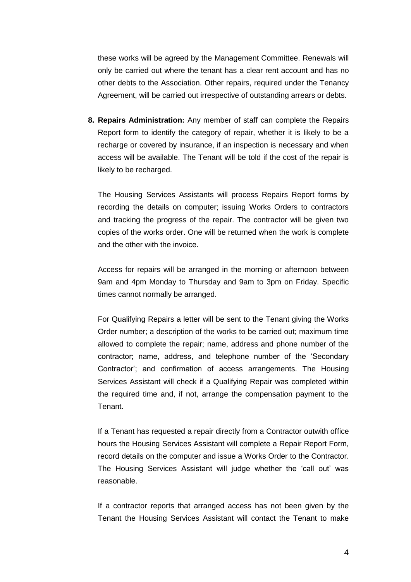these works will be agreed by the Management Committee. Renewals will only be carried out where the tenant has a clear rent account and has no other debts to the Association. Other repairs, required under the Tenancy Agreement, will be carried out irrespective of outstanding arrears or debts.

**8. Repairs Administration:** Any member of staff can complete the Repairs Report form to identify the category of repair, whether it is likely to be a recharge or covered by insurance, if an inspection is necessary and when access will be available. The Tenant will be told if the cost of the repair is likely to be recharged.

The Housing Services Assistants will process Repairs Report forms by recording the details on computer; issuing Works Orders to contractors and tracking the progress of the repair. The contractor will be given two copies of the works order. One will be returned when the work is complete and the other with the invoice.

Access for repairs will be arranged in the morning or afternoon between 9am and 4pm Monday to Thursday and 9am to 3pm on Friday. Specific times cannot normally be arranged.

For Qualifying Repairs a letter will be sent to the Tenant giving the Works Order number; a description of the works to be carried out; maximum time allowed to complete the repair; name, address and phone number of the contractor; name, address, and telephone number of the 'Secondary Contractor'; and confirmation of access arrangements. The Housing Services Assistant will check if a Qualifying Repair was completed within the required time and, if not, arrange the compensation payment to the Tenant.

If a Tenant has requested a repair directly from a Contractor outwith office hours the Housing Services Assistant will complete a Repair Report Form, record details on the computer and issue a Works Order to the Contractor. The Housing Services Assistant will judge whether the 'call out' was reasonable.

If a contractor reports that arranged access has not been given by the Tenant the Housing Services Assistant will contact the Tenant to make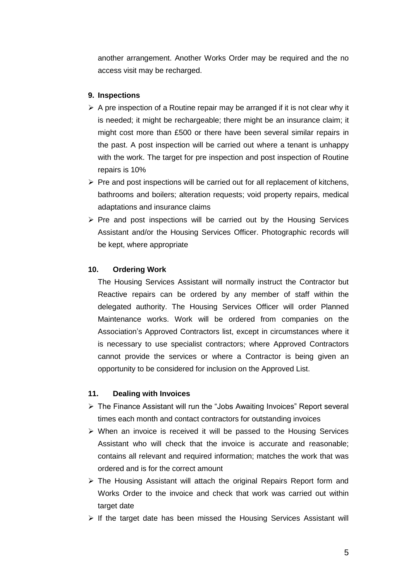another arrangement. Another Works Order may be required and the no access visit may be recharged.

## **9. Inspections**

- $\triangleright$  A pre inspection of a Routine repair may be arranged if it is not clear why it is needed; it might be rechargeable; there might be an insurance claim; it might cost more than £500 or there have been several similar repairs in the past. A post inspection will be carried out where a tenant is unhappy with the work. The target for pre inspection and post inspection of Routine repairs is 10%
- $\triangleright$  Pre and post inspections will be carried out for all replacement of kitchens, bathrooms and boilers; alteration requests; void property repairs, medical adaptations and insurance claims
- $\triangleright$  Pre and post inspections will be carried out by the Housing Services Assistant and/or the Housing Services Officer. Photographic records will be kept, where appropriate

## **10. Ordering Work**

The Housing Services Assistant will normally instruct the Contractor but Reactive repairs can be ordered by any member of staff within the delegated authority. The Housing Services Officer will order Planned Maintenance works. Work will be ordered from companies on the Association's Approved Contractors list, except in circumstances where it is necessary to use specialist contractors; where Approved Contractors cannot provide the services or where a Contractor is being given an opportunity to be considered for inclusion on the Approved List.

#### **11. Dealing with Invoices**

- The Finance Assistant will run the "Jobs Awaiting Invoices" Report several times each month and contact contractors for outstanding invoices
- $\triangleright$  When an invoice is received it will be passed to the Housing Services Assistant who will check that the invoice is accurate and reasonable; contains all relevant and required information; matches the work that was ordered and is for the correct amount
- $\triangleright$  The Housing Assistant will attach the original Repairs Report form and Works Order to the invoice and check that work was carried out within target date
- $\triangleright$  If the target date has been missed the Housing Services Assistant will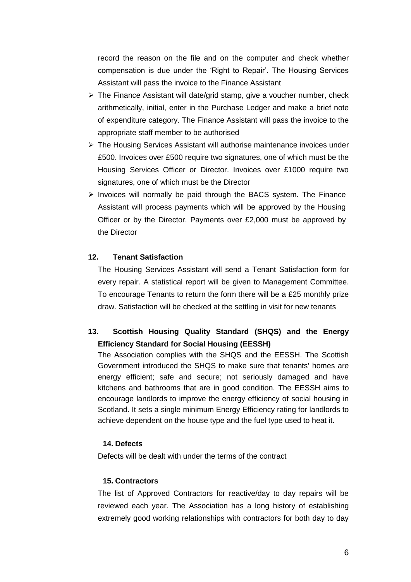record the reason on the file and on the computer and check whether compensation is due under the 'Right to Repair'. The Housing Services Assistant will pass the invoice to the Finance Assistant

- $\triangleright$  The Finance Assistant will date/grid stamp, give a voucher number, check arithmetically, initial, enter in the Purchase Ledger and make a brief note of expenditure category. The Finance Assistant will pass the invoice to the appropriate staff member to be authorised
- $\triangleright$  The Housing Services Assistant will authorise maintenance invoices under £500. Invoices over £500 require two signatures, one of which must be the Housing Services Officer or Director. Invoices over £1000 require two signatures, one of which must be the Director
- $\triangleright$  Invoices will normally be paid through the BACS system. The Finance Assistant will process payments which will be approved by the Housing Officer or by the Director. Payments over £2,000 must be approved by the Director

## **12. Tenant Satisfaction**

The Housing Services Assistant will send a Tenant Satisfaction form for every repair. A statistical report will be given to Management Committee. To encourage Tenants to return the form there will be a £25 monthly prize draw. Satisfaction will be checked at the settling in visit for new tenants

# **13. Scottish Housing Quality Standard (SHQS) and the Energy Efficiency Standard for Social Housing (EESSH)**

The Association complies with the SHQS and the EESSH. The Scottish Government introduced the SHQS to make sure that tenants' homes are energy efficient; safe and secure; not seriously damaged and have kitchens and bathrooms that are in good condition. The EESSH aims to encourage landlords to improve the energy efficiency of social housing in Scotland. It sets a single minimum Energy Efficiency rating for landlords to achieve dependent on the house type and the fuel type used to heat it.

## **14. Defects**

Defects will be dealt with under the terms of the contract

## **15. Contractors**

The list of Approved Contractors for reactive/day to day repairs will be reviewed each year. The Association has a long history of establishing extremely good working relationships with contractors for both day to day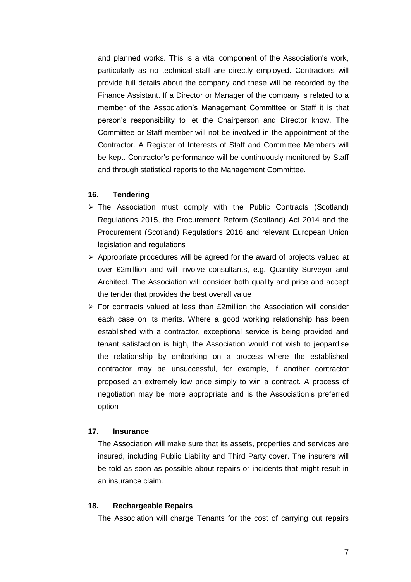and planned works. This is a vital component of the Association's work, particularly as no technical staff are directly employed. Contractors will provide full details about the company and these will be recorded by the Finance Assistant. If a Director or Manager of the company is related to a member of the Association's Management Committee or Staff it is that person's responsibility to let the Chairperson and Director know. The Committee or Staff member will not be involved in the appointment of the Contractor. A Register of Interests of Staff and Committee Members will be kept. Contractor's performance will be continuously monitored by Staff and through statistical reports to the Management Committee.

#### **16. Tendering**

- $\triangleright$  The Association must comply with the Public Contracts (Scotland) Regulations 2015, the Procurement Reform (Scotland) Act 2014 and the Procurement (Scotland) Regulations 2016 and relevant European Union legislation and regulations
- $\triangleright$  Appropriate procedures will be agreed for the award of projects valued at over £2million and will involve consultants, e.g. Quantity Surveyor and Architect. The Association will consider both quality and price and accept the tender that provides the best overall value
- $\triangleright$  For contracts valued at less than £2million the Association will consider each case on its merits. Where a good working relationship has been established with a contractor, exceptional service is being provided and tenant satisfaction is high, the Association would not wish to jeopardise the relationship by embarking on a process where the established contractor may be unsuccessful, for example, if another contractor proposed an extremely low price simply to win a contract. A process of negotiation may be more appropriate and is the Association's preferred option

## **17. Insurance**

The Association will make sure that its assets, properties and services are insured, including Public Liability and Third Party cover. The insurers will be told as soon as possible about repairs or incidents that might result in an insurance claim.

#### **18. Rechargeable Repairs**

The Association will charge Tenants for the cost of carrying out repairs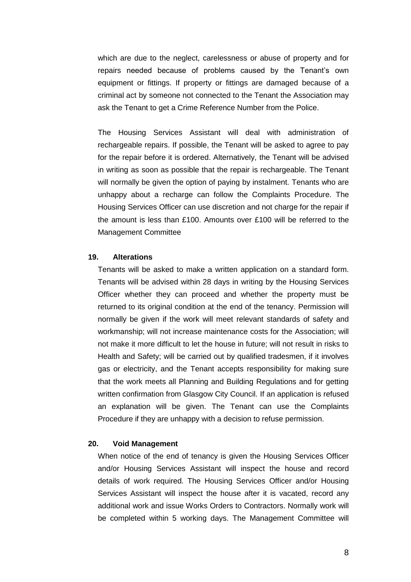which are due to the neglect, carelessness or abuse of property and for repairs needed because of problems caused by the Tenant's own equipment or fittings. If property or fittings are damaged because of a criminal act by someone not connected to the Tenant the Association may ask the Tenant to get a Crime Reference Number from the Police.

The Housing Services Assistant will deal with administration of rechargeable repairs. If possible, the Tenant will be asked to agree to pay for the repair before it is ordered. Alternatively, the Tenant will be advised in writing as soon as possible that the repair is rechargeable. The Tenant will normally be given the option of paying by instalment. Tenants who are unhappy about a recharge can follow the Complaints Procedure. The Housing Services Officer can use discretion and not charge for the repair if the amount is less than £100. Amounts over £100 will be referred to the Management Committee

## **19. Alterations**

Tenants will be asked to make a written application on a standard form. Tenants will be advised within 28 days in writing by the Housing Services Officer whether they can proceed and whether the property must be returned to its original condition at the end of the tenancy. Permission will normally be given if the work will meet relevant standards of safety and workmanship; will not increase maintenance costs for the Association; will not make it more difficult to let the house in future; will not result in risks to Health and Safety; will be carried out by qualified tradesmen, if it involves gas or electricity, and the Tenant accepts responsibility for making sure that the work meets all Planning and Building Regulations and for getting written confirmation from Glasgow City Council. If an application is refused an explanation will be given. The Tenant can use the Complaints Procedure if they are unhappy with a decision to refuse permission.

#### **20. Void Management**

When notice of the end of tenancy is given the Housing Services Officer and/or Housing Services Assistant will inspect the house and record details of work required. The Housing Services Officer and/or Housing Services Assistant will inspect the house after it is vacated, record any additional work and issue Works Orders to Contractors. Normally work will be completed within 5 working days. The Management Committee will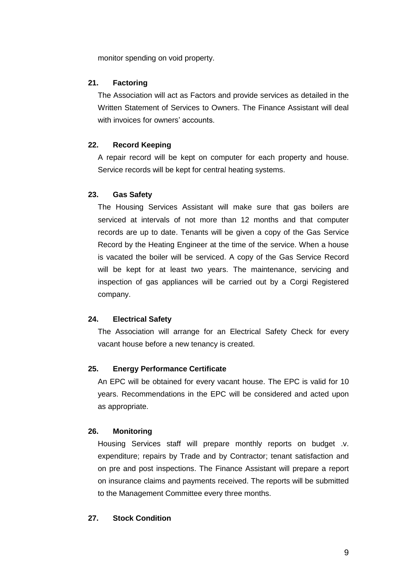monitor spending on void property.

## **21. Factoring**

The Association will act as Factors and provide services as detailed in the Written Statement of Services to Owners. The Finance Assistant will deal with invoices for owners' accounts.

## **22. Record Keeping**

A repair record will be kept on computer for each property and house. Service records will be kept for central heating systems.

## **23. Gas Safety**

The Housing Services Assistant will make sure that gas boilers are serviced at intervals of not more than 12 months and that computer records are up to date. Tenants will be given a copy of the Gas Service Record by the Heating Engineer at the time of the service. When a house is vacated the boiler will be serviced. A copy of the Gas Service Record will be kept for at least two years. The maintenance, servicing and inspection of gas appliances will be carried out by a Corgi Registered company.

#### **24. Electrical Safety**

The Association will arrange for an Electrical Safety Check for every vacant house before a new tenancy is created.

## **25. Energy Performance Certificate**

An EPC will be obtained for every vacant house. The EPC is valid for 10 years. Recommendations in the EPC will be considered and acted upon as appropriate.

#### **26. Monitoring**

Housing Services staff will prepare monthly reports on budget .v. expenditure; repairs by Trade and by Contractor; tenant satisfaction and on pre and post inspections. The Finance Assistant will prepare a report on insurance claims and payments received. The reports will be submitted to the Management Committee every three months.

## **27. Stock Condition**